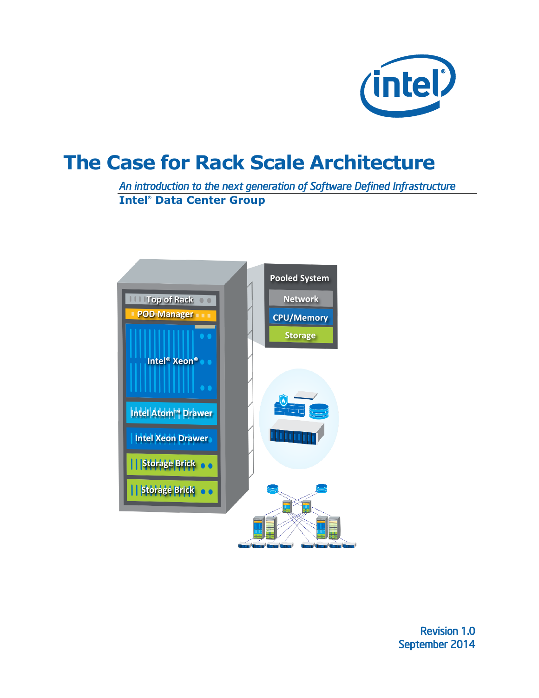

# **The Case for Rack Scale Architecture**

*An introduction to the next generation of Software Defined Infrastructure*  **Intel® Data Center Group** 



Revision 1.0 September 2014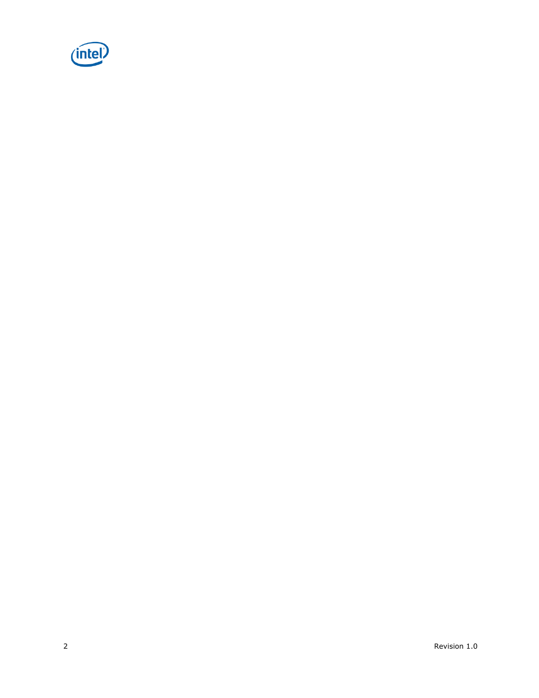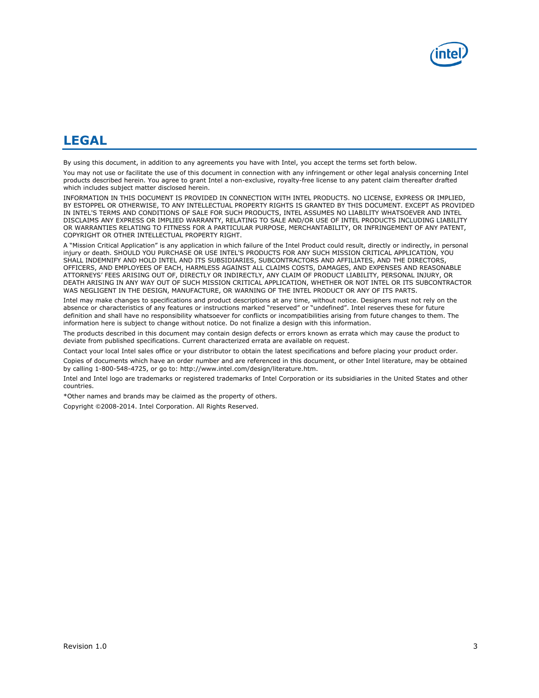

#### **LEGAL**

By using this document, in addition to any agreements you have with Intel, you accept the terms set forth below.

You may not use or facilitate the use of this document in connection with any infringement or other legal analysis concerning Intel products described herein. You agree to grant Intel a non-exclusive, royalty-free license to any patent claim thereafter drafted which includes subject matter disclosed herein.

INFORMATION IN THIS DOCUMENT IS PROVIDED IN CONNECTION WITH INTEL PRODUCTS. NO LICENSE, EXPRESS OR IMPLIED, BY ESTOPPEL OR OTHERWISE, TO ANY INTELLECTUAL PROPERTY RIGHTS IS GRANTED BY THIS DOCUMENT. EXCEPT AS PROVIDED IN INTEL'S TERMS AND CONDITIONS OF SALE FOR SUCH PRODUCTS, INTEL ASSUMES NO LIABILITY WHATSOEVER AND INTEL DISCLAIMS ANY EXPRESS OR IMPLIED WARRANTY, RELATING TO SALE AND/OR USE OF INTEL PRODUCTS INCLUDING LIABILITY OR WARRANTIES RELATING TO FITNESS FOR A PARTICULAR PURPOSE, MERCHANTABILITY, OR INFRINGEMENT OF ANY PATENT, COPYRIGHT OR OTHER INTELLECTUAL PROPERTY RIGHT.

A "Mission Critical Application" is any application in which failure of the Intel Product could result, directly or indirectly, in personal injury or death. SHOULD YOU PURCHASE OR USE INTEL'S PRODUCTS FOR ANY SUCH MISSION CRITICAL APPLICATION, YOU SHALL INDEMNIFY AND HOLD INTEL AND ITS SUBSIDIARIES, SUBCONTRACTORS AND AFFILIATES, AND THE DIRECTORS, OFFICERS, AND EMPLOYEES OF EACH, HARMLESS AGAINST ALL CLAIMS COSTS, DAMAGES, AND EXPENSES AND REASONABLE ATTORNEYS' FEES ARISING OUT OF, DIRECTLY OR INDIRECTLY, ANY CLAIM OF PRODUCT LIABILITY, PERSONAL INJURY, OR DEATH ARISING IN ANY WAY OUT OF SUCH MISSION CRITICAL APPLICATION, WHETHER OR NOT INTEL OR ITS SUBCONTRACTOR WAS NEGLIGENT IN THE DESIGN, MANUFACTURE, OR WARNING OF THE INTEL PRODUCT OR ANY OF ITS PARTS.

Intel may make changes to specifications and product descriptions at any time, without notice. Designers must not rely on the absence or characteristics of any features or instructions marked "reserved" or "undefined". Intel reserves these for future definition and shall have no responsibility whatsoever for conflicts or incompatibilities arising from future changes to them. The information here is subject to change without notice. Do not finalize a design with this information.

The products described in this document may contain design defects or errors known as errata which may cause the product to deviate from published specifications. Current characterized errata are available on request.

Contact your local Intel sales office or your distributor to obtain the latest specifications and before placing your product order.

Copies of documents which have an order number and are referenced in this document, or other Intel literature, may be obtained by calling 1-800-548-4725, or go to: http://www.intel.com/design/literature.htm.

Intel and Intel logo are trademarks or registered trademarks of Intel Corporation or its subsidiaries in the United States and other countries.

\*Other names and brands may be claimed as the property of others.

Copyright ©2008-2014. Intel Corporation. All Rights Reserved.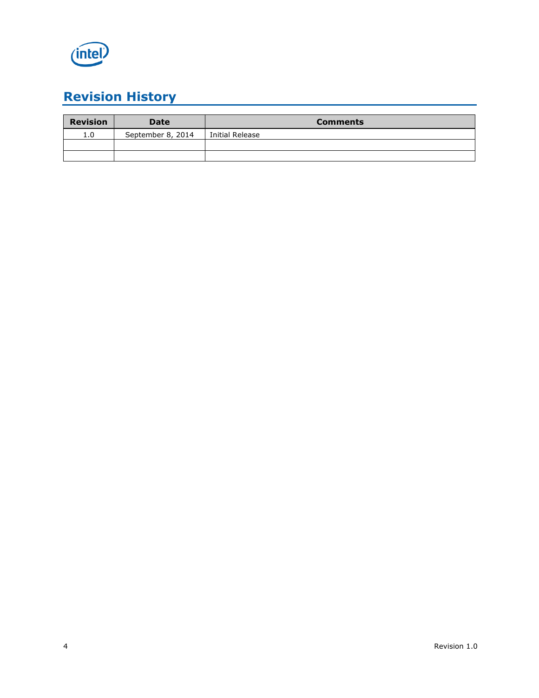

### **Revision History**

| <b>Revision</b> | <b>Date</b>       | <b>Comments</b> |
|-----------------|-------------------|-----------------|
| 1.0             | September 8, 2014 | Initial Release |
|                 |                   |                 |
|                 |                   |                 |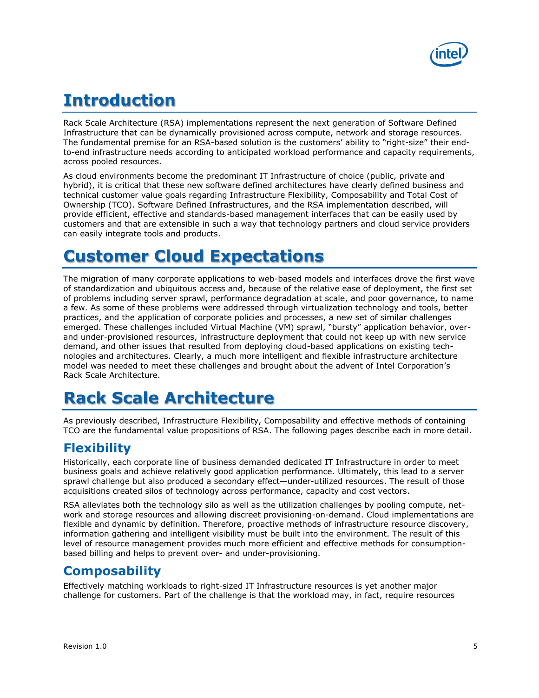

### **Introduction**

Rack Scale Architecture (RSA) implementations represent the next generation of Software Defined Infrastructure that can be dynamically provisioned across compute, network and storage resources. The fundamental premise for an RSA-based solution is the customers' ability to "right-size" their endto-end infrastructure needs according to anticipated workload performance and capacity requirements, across pooled resources.

As cloud environments become the predominant IT Infrastructure of choice (public, private and hybrid), it is critical that these new software defined architectures have clearly defined business and technical customer value goals regarding Infrastructure Flexibility, Composability and Total Cost of Ownership (TCO). Software Defined Infrastructures, and the RSA implementation described, will provide efficient, effective and standards-based management interfaces that can be easily used by customers and that are extensible in such a way that technology partners and cloud service providers can easily integrate tools and products.

### **Customer Cloud Expectations**

The migration of many corporate applications to web-based models and interfaces drove the first wave of standardization and ubiquitous access and, because of the relative ease of deployment, the first set of problems including server sprawl, performance degradation at scale, and poor governance, to name a few. As some of these problems were addressed through virtualization technology and tools, better practices, and the application of corporate policies and processes, a new set of similar challenges emerged. These challenges included Virtual Machine (VM) sprawl, "bursty" application behavior, overand under-provisioned resources, infrastructure deployment that could not keep up with new service demand, and other issues that resulted from deploying cloud-based applications on existing technologies and architectures. Clearly, a much more intelligent and flexible infrastructure architecture model was needed to meet these challenges and brought about the advent of Intel Corporation's Rack Scale Architecture.

### **Rack Scale Architecture**

As previously described, Infrastructure Flexibility, Composability and effective methods of containing TCO are the fundamental value propositions of RSA. The following pages describe each in more detail.

#### **Flexibility**

Historically, each corporate line of business demanded dedicated IT Infrastructure in order to meet business goals and achieve relatively good application performance. Ultimately, this lead to a server sprawl challenge but also produced a secondary effect—under-utilized resources. The result of those acquisitions created silos of technology across performance, capacity and cost vectors.

RSA alleviates both the technology silo as well as the utilization challenges by pooling compute, network and storage resources and allowing discreet provisioning-on-demand. Cloud implementations are flexible and dynamic by definition. Therefore, proactive methods of infrastructure resource discovery, information gathering and intelligent visibility must be built into the environment. The result of this level of resource management provides much more efficient and effective methods for consumptionbased billing and helps to prevent over- and under-provisioning.

#### **Composability**

Effectively matching workloads to right-sized IT Infrastructure resources is yet another major challenge for customers. Part of the challenge is that the workload may, in fact, require resources